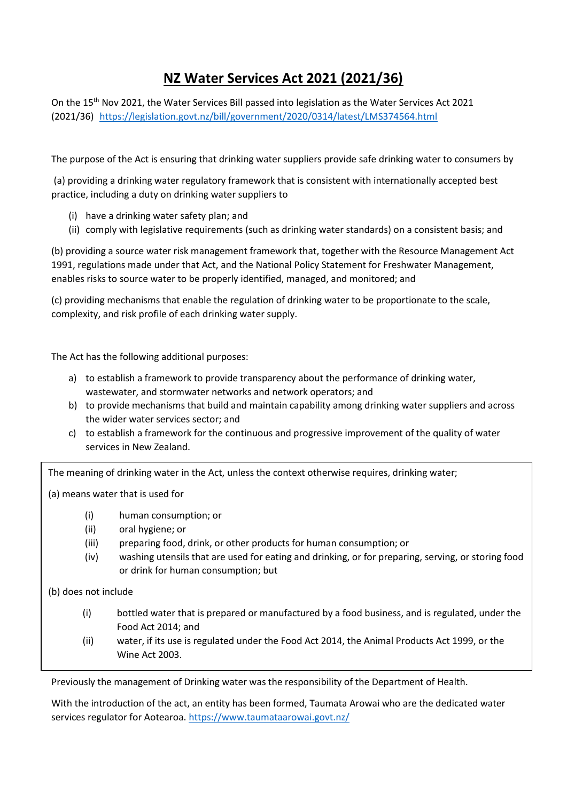# **NZ Water Services Act 2021 (2021/36)**

On the 15th Nov 2021, the Water Services Bill passed into legislation as the Water Services Act 2021 (2021/36) <https://legislation.govt.nz/bill/government/2020/0314/latest/LMS374564.html>

The purpose of the Act is ensuring that drinking water suppliers provide safe drinking water to consumers by

(a) providing a drinking water regulatory framework that is consistent with internationally accepted best practice, including a duty on drinking water suppliers to

- (i) have a drinking water safety plan; and
- (ii) comply with legislative requirements (such as drinking water standards) on a consistent basis; and

(b) providing a source water risk management framework that, together with the Resource Management Act 1991, regulations made under that Act, and the National Policy Statement for Freshwater Management, enables risks to source water to be properly identified, managed, and monitored; and

(c) providing mechanisms that enable the regulation of drinking water to be proportionate to the scale, complexity, and risk profile of each drinking water supply.

The Act has the following additional purposes:

- a) to establish a framework to provide transparency about the performance of drinking water, wastewater, and stormwater networks and network operators; and
- b) to provide mechanisms that build and maintain capability among drinking water suppliers and across the wider water services sector; and
- c) to establish a framework for the continuous and progressive improvement of the quality of water services in New Zealand.

The meaning of drinking water in the Act, unless the context otherwise requires, drinking water;

(a) means water that is used for

- (i) human consumption; or
- (ii) oral hygiene; or
- (iii) preparing food, drink, or other products for human consumption; or
- (iv) washing utensils that are used for eating and drinking, or for preparing, serving, or storing food or drink for human consumption; but
- (b) does not include
	- (i) bottled water that is prepared or manufactured by a food business, and is regulated, under the Food Act 2014; and
	- (ii) water, if its use is regulated under the Food Act 2014, the Animal Products Act 1999, or the Wine Act 2003.

Previously the management of Drinking water was the responsibility of the Department of Health.

With the introduction of the act, an entity has been formed, Taumata Arowai who are the dedicated water services regulator for Aotearoa. <https://www.taumataarowai.govt.nz/>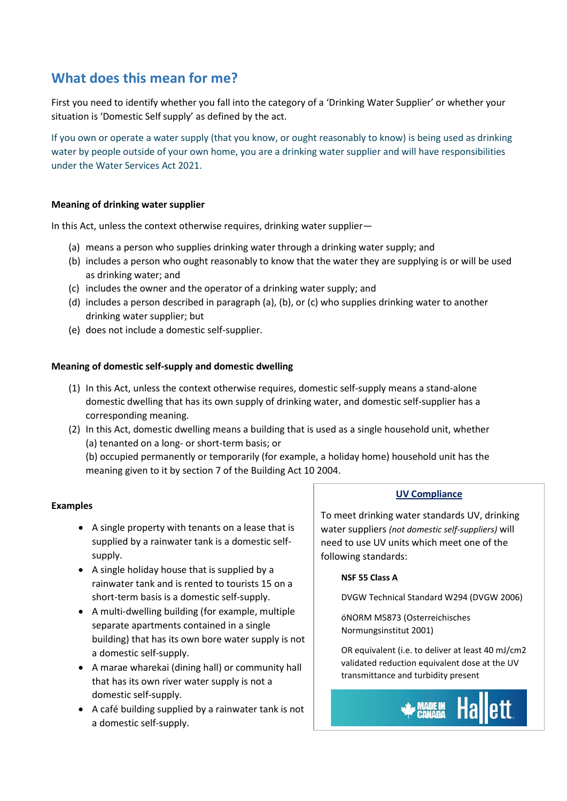## **What does this mean for me?**

First you need to identify whether you fall into the category of a 'Drinking Water Supplier' or whether your situation is 'Domestic Self supply' as defined by the act.

If you own or operate a water supply (that you know, or ought reasonably to know) is being used as drinking water by people outside of your own home, you are a drinking water supplier and will have responsibilities under the Water Services Act 2021.

## **Meaning of drinking water supplier**

In this Act, unless the context otherwise requires, drinking water supplier—

- (a) means a person who supplies drinking water through a drinking water supply; and
- (b) includes a person who ought reasonably to know that the water they are supplying is or will be used as drinking water; and
- (c) includes the owner and the operator of a drinking water supply; and
- (d) includes a person described in paragraph (a), (b), or (c) who supplies drinking water to another drinking water supplier; but
- (e) does not include a domestic self-supplier.

### **Meaning of domestic self-supply and domestic dwelling**

- (1) In this Act, unless the context otherwise requires, domestic self-supply means a stand-alone domestic dwelling that has its own supply of drinking water, and domestic self-supplier has a corresponding meaning.
- (2) In this Act, domestic dwelling means a building that is used as a single household unit, whether (a) tenanted on a long- or short-term basis; or

(b) occupied permanently or temporarily (for example, a holiday home) household unit has the meaning given to it by section 7 of the Building Act 10 2004.

## **Examples**

- A single property with tenants on a lease that is supplied by a rainwater tank is a domestic selfsupply.
- A single holiday house that is supplied by a rainwater tank and is rented to tourists 15 on a short-term basis is a domestic self-supply.
- A multi-dwelling building (for example, multiple separate apartments contained in a single building) that has its own bore water supply is not a domestic self-supply.
- A marae wharekai (dining hall) or community hall that has its own river water supply is not a domestic self-supply.
- A café building supplied by a rainwater tank is not a domestic self-supply.

### **UV Compliance**

To meet drinking water standards UV, drinking water suppliers *(not domestic self-suppliers)* will need to use UV units which meet one of the following standards:

### **NSF 55 Class A**

DVGW Technical Standard W294 (DVGW 2006)

öNORM M5873 (Osterreichisches Normungsinstitut 2001)

OR equivalent (i.e. to deliver at least 40 mJ/cm2 validated reduction equivalent dose at the UV transmittance and turbidity present

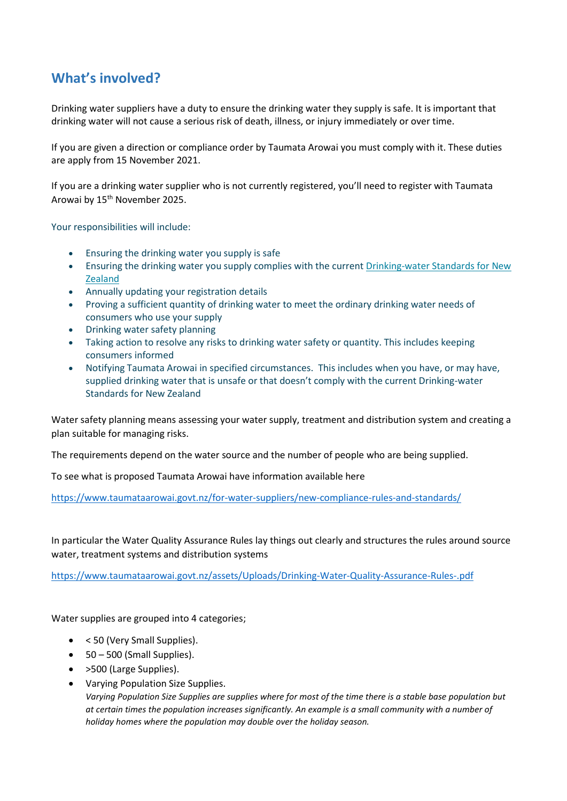## **What's involved?**

Drinking water suppliers have a duty to ensure the drinking water they supply is safe. It is important that drinking water will not cause a serious risk of death, illness, or injury immediately or over time.

If you are given a direction or compliance order by Taumata Arowai you must comply with it. These duties are apply from 15 November 2021.

If you are a drinking water supplier who is not currently registered, you'll need to register with Taumata Arowai by 15th November 2025.

Your responsibilities will include:

- Ensuring the drinking water you supply is safe
- Ensuring the drinking water you supply complies with the current [Drinking-water Standards for New](https://www.taumataarowai.govt.nz/for-water-suppliers/current-drinking-water-standards/)  **[Zealand](https://www.taumataarowai.govt.nz/for-water-suppliers/current-drinking-water-standards/)**
- Annually updating your registration details
- Proving a sufficient quantity of drinking water to meet the ordinary drinking water needs of consumers who use your supply
- Drinking water safety planning
- Taking action to resolve any risks to drinking water safety or quantity. This includes keeping consumers informed
- Notifying Taumata Arowai in specified circumstances. This includes when you have, or may have, supplied drinking water that is unsafe or that doesn't comply with the current Drinking-water Standards for New Zealand

Water safety planning means assessing your water supply, treatment and distribution system and creating a plan suitable for managing risks.

The requirements depend on the water source and the number of people who are being supplied.

To see what is proposed Taumata Arowai have information available here

<https://www.taumataarowai.govt.nz/for-water-suppliers/new-compliance-rules-and-standards/>

In particular the Water Quality Assurance Rules lay things out clearly and structures the rules around source water, treatment systems and distribution systems

<https://www.taumataarowai.govt.nz/assets/Uploads/Drinking-Water-Quality-Assurance-Rules-.pdf>

Water supplies are grouped into 4 categories;

- < 50 (Very Small Supplies).
- $\bullet$  50 500 (Small Supplies).
- >500 (Large Supplies).
- Varying Population Size Supplies. *Varying Population Size Supplies are supplies where for most of the time there is a stable base population but at certain times the population increases significantly. An example is a small community with a number of holiday homes where the population may double over the holiday season.*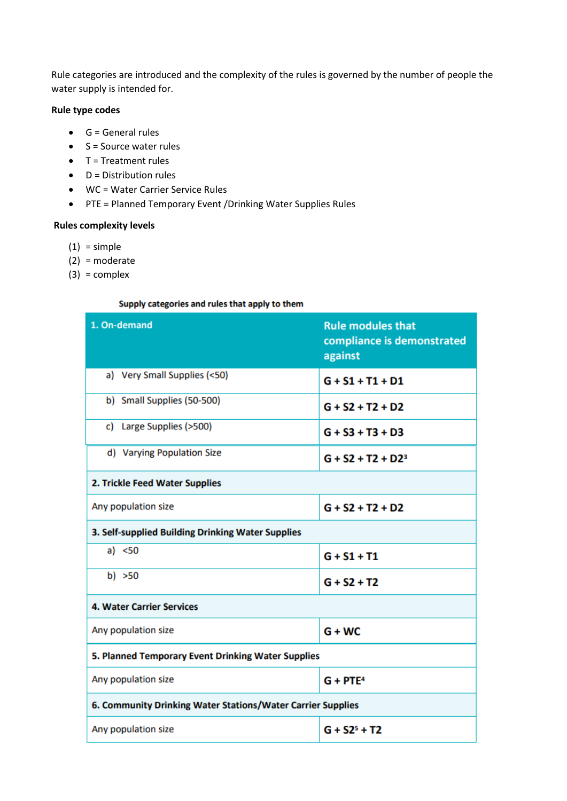Rule categories are introduced and the complexity of the rules is governed by the number of people the water supply is intended for.

## **Rule type codes**

- $\bullet$  G = General rules
- $\bullet$  S = Source water rules
- $\bullet$  T = Treatment rules
- $\bullet$  D = Distribution rules
- WC = Water Carrier Service Rules
- PTE = Planned Temporary Event /Drinking Water Supplies Rules

## **Rules complexity levels**

- $(1)$  = simple
- (2) = moderate
- $(3) = complex$

#### Supply categories and rules that apply to them

| 1. On-demand                                                | <b>Rule modules that</b><br>compliance is demonstrated<br>against |
|-------------------------------------------------------------|-------------------------------------------------------------------|
| a) Very Small Supplies (<50)                                | $G + S1 + T1 + D1$                                                |
| b) Small Supplies (50-500)                                  | $G + S2 + T2 + D2$                                                |
| c) Large Supplies (>500)                                    | $G + S3 + T3 + D3$                                                |
| d) Varying Population Size                                  | $G + S2 + T2 + D2^3$                                              |
| 2. Trickle Feed Water Supplies                              |                                                                   |
| Any population size                                         | $G + S2 + T2 + D2$                                                |
| 3. Self-supplied Building Drinking Water Supplies           |                                                                   |
| a) $<50$                                                    | $G + S1 + T1$                                                     |
| b) $>50$                                                    | $G + S2 + T2$                                                     |
| <b>4. Water Carrier Services</b>                            |                                                                   |
| Any population size                                         | $G + WC$                                                          |
| 5. Planned Temporary Event Drinking Water Supplies          |                                                                   |
| Any population size                                         | $G + PTE4$                                                        |
| 6. Community Drinking Water Stations/Water Carrier Supplies |                                                                   |
| Any population size                                         | $G + S25 + T2$                                                    |